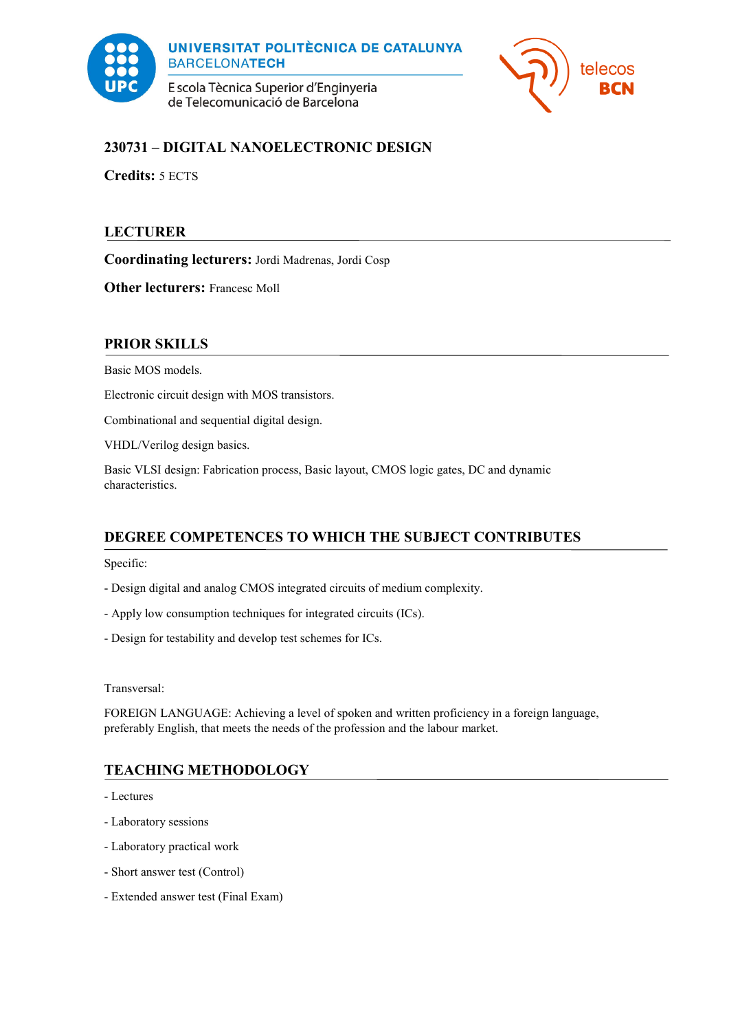



# **230731 – DIGITAL NANOELECTRONIC DESIGN**

**Credits:** 5 ECTS

# **LECTURER**

**Coordinating lecturers:** Jordi Madrenas, Jordi Cosp

**Other lecturers: Francesc Moll** 

### **PRIOR SKILLS**

Basic MOS models.

Electronic circuit design with MOS transistors.

Combinational and sequential digital design.

VHDL/Verilog design basics.

Basic VLSI design: Fabrication process, Basic layout, CMOS logic gates, DC and dynamic characteristics.

## **DEGREE COMPETENCES TO WHICH THE SUBJECT CONTRIBUTES**

Specific:

- Design digital and analog CMOS integrated circuits of medium complexity.
- Apply low consumption techniques for integrated circuits (ICs).
- Design for testability and develop test schemes for ICs.

Transversal:

FOREIGN LANGUAGE: Achieving a level of spoken and written proficiency in a foreign language, preferably English, that meets the needs of the profession and the labour market.

## **TEACHING METHODOLOGY**

- Lectures
- Laboratory sessions
- Laboratory practical work
- Short answer test (Control)
- Extended answer test (Final Exam)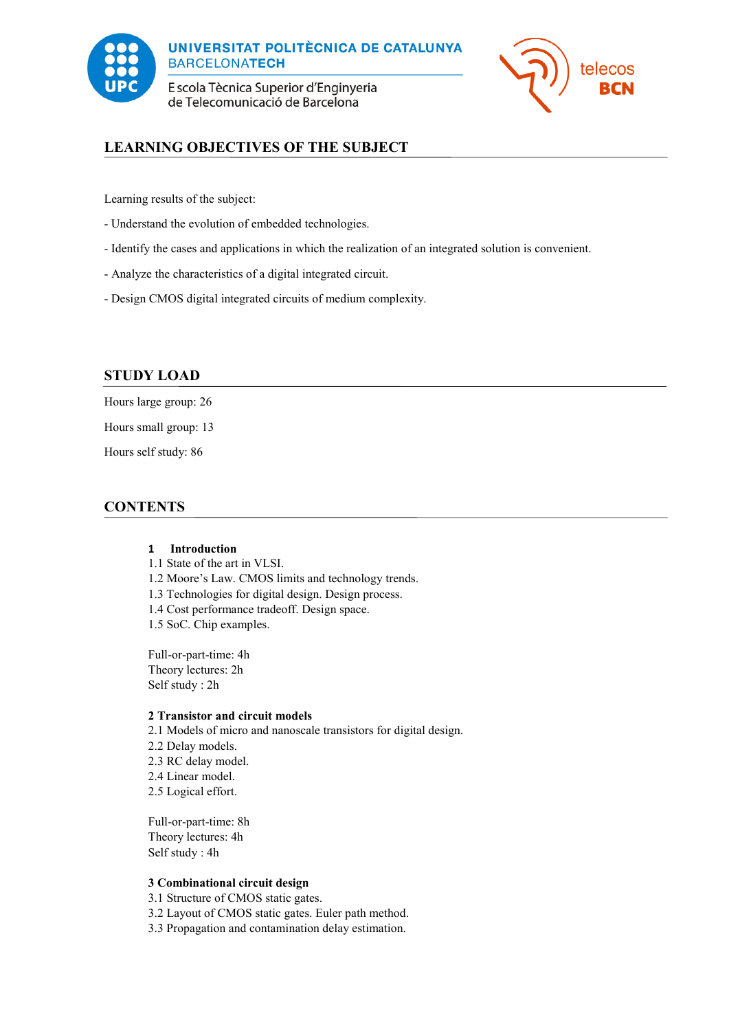



# **LEARNING OBJECTIVES OF THE SUBJECT**

Learning results of the subject:

- Understand the evolution of embedded technologies.
- Identify the cases and applications in which the realization of an integrated solution is convenient.
- Analyze the characteristics of a digital integrated circuit.
- Design CMOS digital integrated circuits of medium complexity.

### **STUDY LOAD**

Hours large group: 26

Hours small group: 13

Hours self study: 86

### **CONTENTS**

### **1 Introduction**

1.1 State of the art in VLSI.

- 1.2 Moore's Law. CMOS limits and technology trends.
- 1.3 Technologies for digital design. Design process.
- 1.4 Cost performance tradeoff. Design space.
- 1.5 SoC. Chip examples.

Full-or-part-time: 4h Theory lectures: 2h Self study : 2h

#### **2 Transistor and circuit models**

2.1 Models of micro and nanoscale transistors for digital design.

- 2.2 Delay models.
- 2.3 RC delay model.
- 2.4 Linear model.
- 2.5 Logical effort.

Full-or-part-time: 8h Theory lectures: 4h Self study : 4h

#### **3 Combinational circuit design**

3.1 Structure of CMOS static gates.

- 3.2 Layout of CMOS static gates. Euler path method.
- 3.3 Propagation and contamination delay estimation.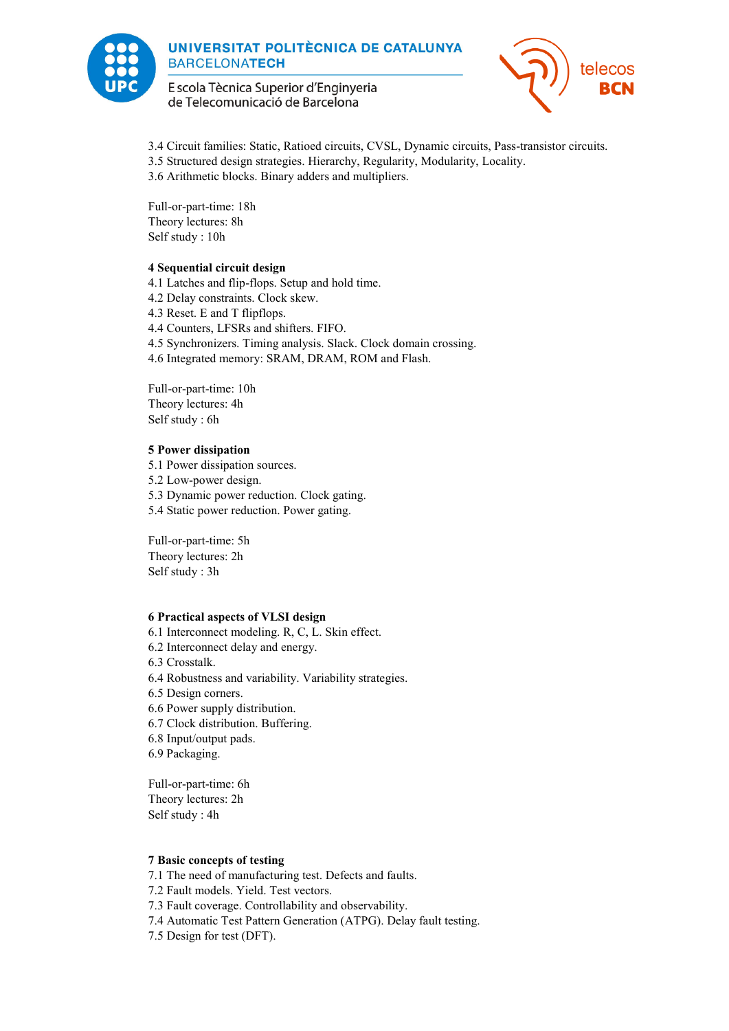



3.4 Circuit families: Static, Ratioed circuits, CVSL, Dynamic circuits, Pass-transistor circuits. 3.5 Structured design strategies. Hierarchy, Regularity, Modularity, Locality. 3.6 Arithmetic blocks. Binary adders and multipliers.

Full-or-part-time: 18h Theory lectures: 8h Self study : 10h

#### **4 Sequential circuit design**

4.1 Latches and flip-flops. Setup and hold time. 4.2 Delay constraints. Clock skew. 4.3 Reset. E and T flipflops. 4.4 Counters, LFSRs and shifters. FIFO. 4.5 Synchronizers. Timing analysis. Slack. Clock domain crossing. 4.6 Integrated memory: SRAM, DRAM, ROM and Flash.

Full-or-part-time: 10h Theory lectures: 4h Self study : 6h

### **5 Power dissipation**

5.1 Power dissipation sources. 5.2 Low-power design. 5.3 Dynamic power reduction. Clock gating. 5.4 Static power reduction. Power gating.

Full-or-part-time: 5h Theory lectures: 2h Self study : 3h

#### **6 Practical aspects of VLSI design**

6.1 Interconnect modeling. R, C, L. Skin effect.

6.2 Interconnect delay and energy.

6.3 Crosstalk.

6.4 Robustness and variability. Variability strategies.

6.5 Design corners.

6.6 Power supply distribution.

6.7 Clock distribution. Buffering.

6.8 Input/output pads.

6.9 Packaging.

Full-or-part-time: 6h Theory lectures: 2h Self study : 4h

#### **7 Basic concepts of testing**

7.1 The need of manufacturing test. Defects and faults.

7.2 Fault models. Yield. Test vectors.

7.3 Fault coverage. Controllability and observability.

7.4 Automatic Test Pattern Generation (ATPG). Delay fault testing.

7.5 Design for test (DFT).